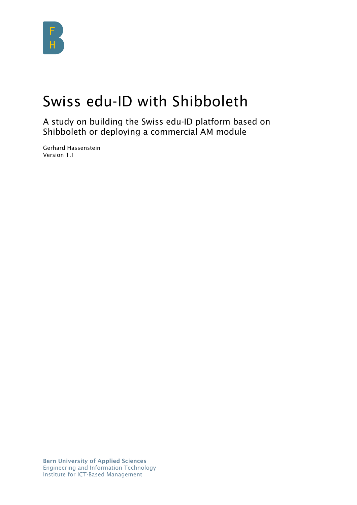

# Swiss edu-ID with Shibboleth

A study on building the Swiss edu-ID platform based on Shibboleth or deploying a commercial AM module

Gerhard Hassenstein Version 1.1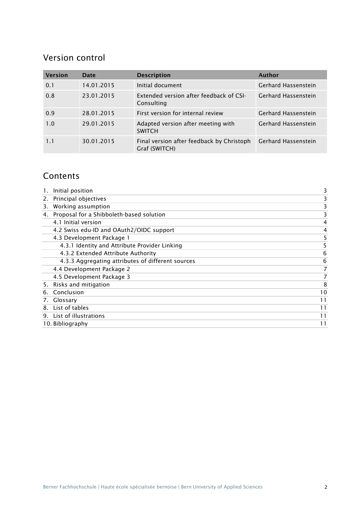# Version control

| <b>Version</b> | Date       | <b>Description</b>                                         | <b>Author</b>              |
|----------------|------------|------------------------------------------------------------|----------------------------|
| 0.1            | 14.01.2015 | Initial document                                           | <b>Gerhard Hassenstein</b> |
| 0.8            | 23.01.2015 | Extended version after feedback of CSI-<br>Consulting      | <b>Gerhard Hassenstein</b> |
| 0.9            | 28.01.2015 | First version for internal review                          | <b>Gerhard Hassenstein</b> |
| 1.0            | 29.01.2015 | Adapted version after meeting with<br><b>SWITCH</b>        | <b>Gerhard Hassenstein</b> |
| 1.1            | 30.01.2015 | Final version after feedback by Christoph<br>Graf (SWITCH) | Gerhard Hassenstein        |

# **Contents**

|    | Initial position                                  | 3  |
|----|---------------------------------------------------|----|
| 2. | Principal objectives                              |    |
| 3. | Working assumption                                |    |
| 4. | Proposal for a Shibboleth-based solution          |    |
|    | 4.1 Initial version                               | 4  |
|    | 4.2 Swiss edu-ID and OAuth2/OIDC support          | 4  |
|    | 4.3 Development Package 1                         |    |
|    | 4.3.1 Identity and Attribute Provider Linking     | 5  |
|    | 4.3.2 Extended Attribute Authority                | 6  |
|    | 4.3.3 Aggregating attributes of different sources | 6  |
|    | 4.4 Development Package 2                         |    |
|    | 4.5 Development Package 3                         |    |
|    | 5. Risks and mitigation                           | 8  |
|    | 6. Conclusion                                     | 10 |
| 7. | Glossary                                          | 11 |
|    | 8. List of tables                                 | 11 |
|    | 9. List of illustrations                          | 11 |
|    | 10. Bibliography                                  | 11 |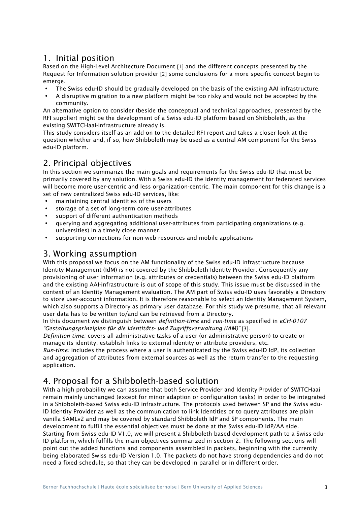### 1. Initial position

Based on the High-Level Architecture Document [1] and the different concepts presented by the Request for Information solution provider [2] some conclusions for a more specific concept begin to emerge.

- The Swiss edu-ID should be gradually developed on the basis of the existing AAI infrastructure.
- A disruptive migration to a new platform might be too risky and would not be accepted by the community.

An alternative option to consider (beside the conceptual and technical approaches, presented by the RFI supplier) might be the development of a Swiss edu-ID platform based on Shibboleth, as the existing SWITCHaai-infrastructure already is.

This study considers itself as an add-on to the detailed RFI report and takes a closer look at the question whether and, if so, how Shibboleth may be used as a central AM component for the Swiss edu-ID platform.

# 2. Principal objectives

In this section we summarize the main goals and requirements for the Swiss edu-ID that must be primarily covered by any solution. With a Swiss edu-ID the identity management for federated services will become more user-centric and less organization-centric. The main component for this change is a set of new centralized Swiss edu-ID services, like:

- maintaining central identities of the users
- storage of a set of long-term core user-attributes
- support of different authentication methods
- querying and aggregating additional user-attributes from participating organizations (e.g. universities) in a timely close manner.
- supporting connections for non-web resources and mobile applications

### 3. Working assumption

With this proposal we focus on the AM functionality of the Swiss edu-ID infrastructure because Identity Management (IdM) is not covered by the Shibboleth Identity Provider. Consequently any provisioning of user information (e.g. attributes or credentials) between the Swiss edu-ID platform and the existing AAI-infrastructure is out of scope of this study. This issue must be discussed in the context of an Identity Management evaluation. The AM part of Swiss edu-ID uses favorably a Directory to store user-account information. It is therefore reasonable to select an Identity Management System, which also supports a Directory as primary user database. For this study we presume, that all relevant user data has to be written to/and can be retrieved from a Directory.

In this document we distinguish between *definition-time* and *run-time* as specified in *eCH-0107 "Gestaltungsprinzipien für die Identitäts- und Zugriffsverwaltung (IAM)"* [3].

*Definition-time:* covers all administrative tasks of a user (or administrative person) to create or manage its identity, establish links to external identity or attribute providers, etc.

*Run-time:* includes the process where a user is authenticated by the Swiss edu-ID IdP, its collection and aggregation of attributes from external sources as well as the return transfer to the requesting application.

### 4. Proposal for a Shibboleth-based solution

With a high probability we can assume that both Service Provider and Identity Provider of SWITCHaai remain mainly unchanged (except for minor adaption or configuration tasks) in order to be integrated in a Shibboleth-based Swiss edu-ID infrastructure. The protocols used between SP and the Swiss edu-ID Identity Provider as well as the communication to link Identities or to query attributes are plain vanilla SAMLv2 and may be covered by standard Shibboleth IdP and SP components. The main development to fulfill the essential objectives must be done at the Swiss edu-ID IdP/AA side. Starting from Swiss edu-ID V1.0, we will present a Shibboleth based development path to a Swiss edu-ID platform, which fulfills the main objectives summarized in section 2. The following sections will point out the added functions and components assembled in packets, beginning with the currently being elaborated Swiss edu-ID Version 1.0. The packets do not have strong dependencies and do not need a fixed schedule, so that they can be developed in parallel or in different order.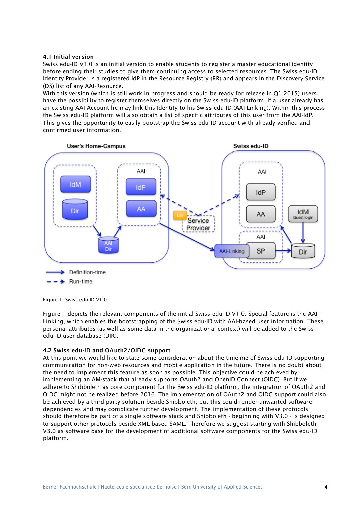#### 4.1 Initial version

Swiss edu-ID V1.0 is an initial version to enable students to register a master educational identity before ending their studies to give them continuing access to selected resources. The Swiss edu-ID Identity Provider is a registered IdP in the Resource Registry (RR) and appears in the Discovery Service (DS) list of any AAI-Resource.

With this version (which is still work in progress and should be ready for release in Q1 2015) users have the possibility to register themselves directly on the Swiss edu-ID platform. If a user already has an existing AAI-Account he may link this Identity to his Swiss edu-ID (AAI-Linking). Within this process the Swiss edu-ID platform will also obtain a list of specific attributes of this user from the AAI-IdP. This gives the opportunity to easily bootstrap the Swiss edu-ID account with already verified and confirmed user information.



Figure 1: Swiss edu-ID V1.0

Figure 1 depicts the relevant components of the initial Swiss edu-ID V1.0. Special feature is the AAI-Linking, which enables the bootstrapping of the Swiss edu-ID with AAI-based user information. These personal attributes (as well as some data in the organizational context) will be added to the Swiss edu-ID user database (DIR).

#### 4.2 Swiss edu-ID and OAuth2/OIDC support

At this point we would like to state some consideration about the timeline of Swiss edu-ID supporting communication for non-web resources and mobile application in the future. There is no doubt about the need to implement this feature as soon as possible. This objective could be achieved by implementing an AM-stack that already supports OAuth2 and OpenID Connect (OIDC). But if we adhere to Shibboleth as core component for the Swiss edu-ID platform, the integration of OAuth2 and OIDC might not be realized before 2016. The implementation of OAuth2 and OIDC support could also be achieved by a third party solution beside Shibboleth, but this could render unwanted software dependencies and may complicate further development. The implementation of these protocols should therefore be part of a single software stack and Shibboleth - beginning with V3.0 - is designed to support other protocols beside XML-based SAML. Therefore we suggest starting with Shibboleth V3.0 as software base for the development of additional software components for the Swiss edu-ID platform.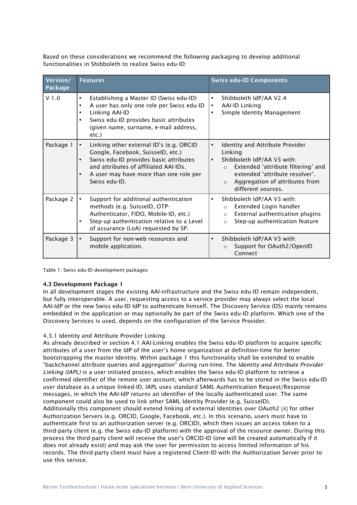Based on these considerations we recommend the following packaging to develop additional functionalities in Shibboleth to realize Swiss edu-ID:

| Version/<br>Package | <b>Features</b>                                                                                                                                                                                                                                        | <b>Swiss edu-ID Components</b>                                                                                                                                                                                                                           |  |
|---------------------|--------------------------------------------------------------------------------------------------------------------------------------------------------------------------------------------------------------------------------------------------------|----------------------------------------------------------------------------------------------------------------------------------------------------------------------------------------------------------------------------------------------------------|--|
| V <sub>1.0</sub>    | Establishing a Master ID (Swiss edu-ID)<br>$\bullet$<br>A user has only one role per Swiss edu-ID<br>$\bullet$<br>Linking AAI-ID<br>$\bullet$<br>Swiss edu-ID provides basic attributes<br>$\bullet$<br>(given name, surname, e-mail address,<br>etc.) | Shibboleth IdP/AA V2.4<br>$\bullet$<br><b>AAI-ID Linking</b><br>$\bullet$<br>Simple Identity Management<br>$\bullet$                                                                                                                                     |  |
| Package 1           | Linking other external ID's (e.g. ORCID<br>$\bullet$<br>Google, Facebook, SuisselD, etc.)<br>Swiss edu-ID provides basic attributes<br>$\bullet$<br>and attributes of affiliated AAI-IDs.<br>A user may have more than one role per<br>Swiss edu-ID.   | Identity and Attribute Provider<br>$\bullet$<br>Linking<br>Shibboleth IdP/AA V3 with:<br>$\bullet$<br>Extended 'attribute filtering' and<br>$\circ$<br>extended 'attribute resolver'.<br>Aggregation of attributes from<br>$\circ$<br>different sources. |  |
| Package 2           | Support for additional authentication<br>$\bullet$<br>methods (e.g. SuisselD, OTP-<br>Authenticator, FIDO, Mobile-ID, etc.)<br>Step-up authentication relative to a Level<br>$\bullet$<br>of assurance (LoA) requested by SP.                          | Shibboleth IdP/AA V3 with:<br>$\bullet$<br>Extended Login handler<br>$\circ$<br>External authentication plugins<br>$\circ$<br>Step-up authentication feature<br>$\circ$                                                                                  |  |
| Package 3           | Support for non-web resources and<br>$\bullet$<br>mobile application.                                                                                                                                                                                  | Shibboleth IdP/AA V3 with:<br>$\bullet$<br>Support for OAuth2/OpenID<br>$\circ$<br>Connect                                                                                                                                                               |  |

Table 1: Swiss edu-ID development packages

#### 4.3 Development Package 1

In all development stages the existing AAI-infrastructure and the Swiss edu-ID remain independent, but fully interoperable. A user, requesting access to a service provider may always select the local AAI-IdP or the new Swiss edu-ID IdP to authenticate himself. The Discovery Service (DS) mainly remains embedded in the application or may optionally be part of the Swiss edu-ID platform. Which one of the Discovery Services is used, depends on the configuration of the Service Provider.

#### 4.3.1 Identity and Attribute Provider Linking

As already described in section 4.1 AAI-Linking enables the Swiss edu-ID platform to acquire specific attributes of a user from the IdP of the user's home organization at definition-time for better bootstrapping the master Identity. Within package 1 this functionality shall be extended to enable "backchannel attribute queries and aggregation" during run-time. The *Identity and Attribute Provider Linking (IAPL)* is a user initiated process, which enables the Swiss edu-ID platform to retrieve a confirmed identifier of the remote user account, which afterwards has to be stored in the Swiss edu-ID user database as a unique linked-ID. IAPL uses standard SAML Authentication Request/Response messages, in which the AAI-IdP returns an identifier of the locally authenticated user. The same component could also be used to link other SAML Identity Provider (e.g. SuisseID). Additionally this component should extend linking of external Identities over OAuth2 [4] for other Authorization Servers (e.g. ORCID, Google, Facebook, etc.). In this scenario, users must have to authenticate first to an authorization server (e.g. ORCID), which then issues an access token to a third-party client (e.g. the Swiss edu-ID platform) with the approval of the resource owner. During this process the third-party client will receive the user's ORCID-ID (one will be created automatically if it does not already exist) and may ask the user for permission to access limited information of his records. The third-party client must have a registered Client-ID with the Authorization Server prior to use this service.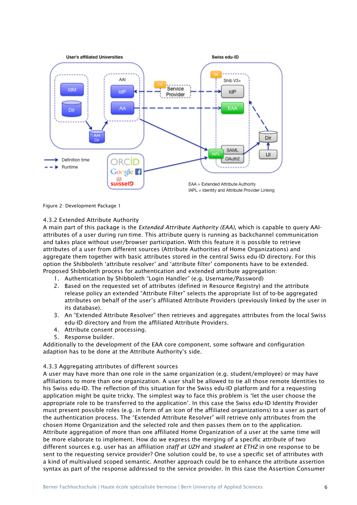

Figure 2: Development Package 1

#### 4.3.2 Extended Attribute Authority

A main part of this package is the *Extended Attribute Authority (EAA)*, which is capable to query AAIattributes of a user during run-time. This attribute query is running as backchannel communication and takes place without user/browser participation. With this feature it is possible to retrieve attributes of a user from different sources (Attribute Authorities of Home Organizations) and aggregate them together with basic attributes stored in the central Swiss edu-ID directory. For this option the Shibboleth 'attribute resolver' and 'attribute filter' components have to be extended. Proposed Shibboleth process for authentication and extended attribute aggregation:

- 1. Authentication by Shibboleth "Login Handler" (e.g. Username/Password)
- 2. Based on the requested set of attributes (defined in Resource Registry) and the attribute release policy an extended "Attribute Filter" selects the appropriate list of to-be aggregated attributes on behalf of the user's affiliated Attribute Providers (previously linked by the user in its database).
- 3. An "Extended Attribute Resolver" then retrieves and aggregates attributes from the local Swiss edu-ID directory and from the affiliated Attribute Providers.
- 4. Attribute consent processing.
- 5. Response builder.

Additionally to the development of the EAA core component, some software and configuration adaption has to be done at the Attribute Authority's side.

#### 4.3.3 Aggregating attributes of different sources

A user may have more than one role in the same organization (e.g. student/employee) or may have affiliations to more than one organization. A user shall be allowed to tie all those remote Identities to his Swiss edu-ID. The reflection of this situation for the Swiss edu-ID platform and for a requesting application might be quite tricky. The simplest way to face this problem is 'let the user choose the appropriate role to be transferred to the application'. In this case the Swiss edu-ID Identity Provider must present possible roles (e.g. in form of an icon of the affiliated organizations) to a user as part of the authentication process. The "Extended Attribute Resolver" will retrieve only attributes from the chosen Home Organization and the selected role and then passes them on to the application. Attribute aggregation of more than one affiliated Home Organization of a user at the same time will be more elaborate to implement. How do we express the merging of a specific attribute of two different sources e.g. user has an affiliation *staff at UZH* and *student at ETHZ* in one response to be sent to the requesting service provider? One solution could be, to use a specific set of attributes with a kind of multivalued scoped semantic. Another approach could be to enhance the attribute assertion syntax as part of the response addressed to the service provider. In this case the Assertion Consumer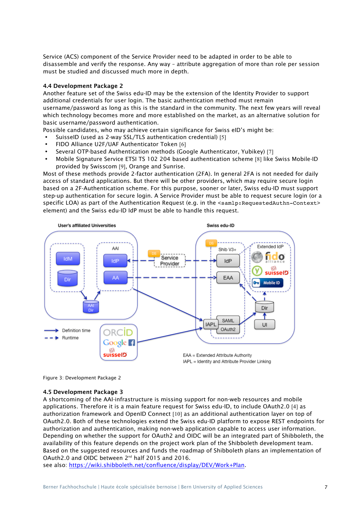Service (ACS) component of the Service Provider need to be adapted in order to be able to disassemble and verify the response. Any way – attribute aggregation of more than role per session must be studied and discussed much more in depth.

#### 4.4 Development Package 2

Another feature set of the Swiss edu-ID may be the extension of the Identity Provider to support additional credentials for user login. The basic authentication method must remain username/password as long as this is the standard in the community. The next few years will reveal which technology becomes more and more established on the market, as an alternative solution for basic username/password authentication.

Possible candidates, who may achieve certain significance for Swiss eID's might be:

- SuisseID (used as 2-way SSL/TLS authentication credential) [5]
- FIDO Alliance U2F/UAF Authenticator Token [6]
- Several OTP-based Authentication methods (Google Authenticator, Yubikey) [7]
- Mobile Signature Service ETSI TS 102 204 based authentication scheme [8] like Swiss Mobile-ID provided by Swisscom [9], Orange and Sunrise.

Most of these methods provide 2-factor authentication (2FA). In general 2FA is not needed for daily access of standard applications. But there will be other providers, which may require secure login based on a 2F-Authentication scheme. For this purpose, sooner or later, Swiss edu-ID must support step-up authentication for secure login. A Service Provider must be able to request secure login (or a specific LOA) as part of the Authentication Request (e.g. in the <samlp: RequestedAuthn-Context> element) and the Swiss edu-ID IdP must be able to handle this request.



Figure 3: Development Package 2

#### 4.5 Development Package 3

A shortcoming of the AAI-infrastructure is missing support for non-web resources and mobile applications. Therefore it is a main feature request for Swiss edu-ID, to include OAuth2.0 [4] as authorization framework and OpenID Connect [10] as an additional authentication layer on top of OAuth2.0. Both of these technologies extend the Swiss edu-ID platform to expose REST endpoints for authorization and authentication, making non-web application capable to access user information. Depending on whether the support for OAuth2 and OIDC will be an integrated part of Shibboleth, the availability of this feature depends on the project work plan of the Shibboleth development team. Based on the suggested resources and funds the roadmap of Shibboleth plans an implementation of OAuth2.0 and OIDC between 2nd half 2015 and 2016.

see also: https://wiki.shibboleth.net/confluence/display/DEV/Work+Plan.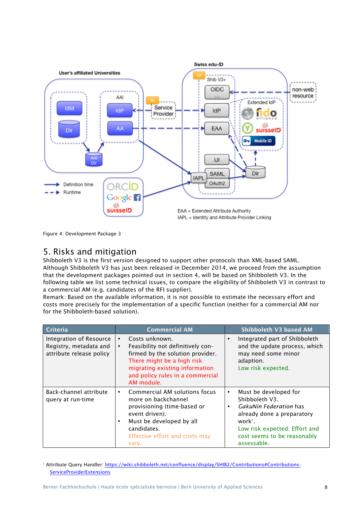

Figure 4: Development Package 3

### 5. Risks and mitigation

Shibboleth V3 is the first version designed to support other protocols than XML-based SAML. Although Shibboleth V3 has just been released in December 2014, we proceed from the assumption that the development packages pointed out in section 4, will be based on Shibboleth V3. In the following table we list some technical issues, to compare the eligibility of Shibboleth V3 in contrast to a commercial AM (e.g. candidates of the RFI supplier).

Remark: Based on the available information, it is not possible to estimate the necessary effort and costs more precisely for the implementation of a specific function (neither for a commercial AM nor for the Shibboleth-based solution).

| Criteria                                                                      | <b>Commercial AM</b>                                                                                                                                                                                                                | Shibboleth V3 based AM                                                                                                                                                                                                          |
|-------------------------------------------------------------------------------|-------------------------------------------------------------------------------------------------------------------------------------------------------------------------------------------------------------------------------------|---------------------------------------------------------------------------------------------------------------------------------------------------------------------------------------------------------------------------------|
| Integration of Resource<br>Registry, metadata and<br>attribute release policy | Costs unknown.<br>$\bullet$<br>Feasibility not definitively con-<br>$\bullet$<br>firmed by the solution provider.<br>There might be a high risk<br>migrating existing information<br>and policy rules in a commercial<br>AM module. | Integrated part of Shibboleth<br>$\bullet$<br>and the update process, which<br>may need some minor<br>adaption.<br>Low risk expected.                                                                                           |
| Back-channel attribute<br>query at run-time                                   | Commercial AM solutions focus<br>$\bullet$<br>more on backchannel<br>provisioning (time-based or<br>event driven).<br>Must be developed by all<br>٠<br>candidates.<br>Effective effort and costs may<br>vary.                       | Must be developed for<br>$\bullet$<br>Shibboleth V3.<br>GakuNin Federation has<br>$\bullet$<br>already done a preparatory<br>work <sup>1</sup> .<br>Low risk expected. Effort and<br>cost seems to be reasonably<br>assessable. |

<sup>1</sup> Attribute Query Handler: https://wiki.shibboleth.net/confluence/display/SHIB2/Contributions#Contributions-**ServiceProviderExtensions**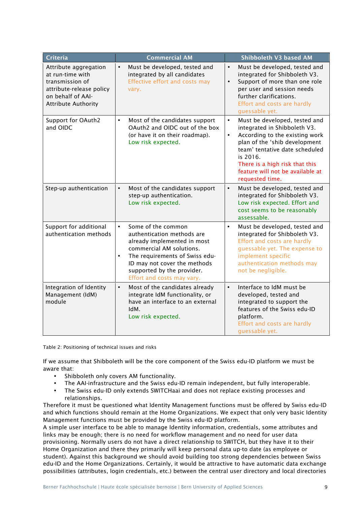| <b>Criteria</b>                                                                                                                             | <b>Commercial AM</b>                                                                                                                                                                                                                      | Shibboleth V3 based AM                                                                                                                                                                                                                                                  |
|---------------------------------------------------------------------------------------------------------------------------------------------|-------------------------------------------------------------------------------------------------------------------------------------------------------------------------------------------------------------------------------------------|-------------------------------------------------------------------------------------------------------------------------------------------------------------------------------------------------------------------------------------------------------------------------|
| Attribute aggregation<br>at run-time with<br>transmission of<br>attribute-release policy<br>on behalf of AAI-<br><b>Attribute Authority</b> | Must be developed, tested and<br>integrated by all candidates<br>Effective effort and costs may<br>vary.                                                                                                                                  | Must be developed, tested and<br>integrated for Shibboleth V3.<br>Support of more than one role<br>per user and session needs<br>further clarifications.<br>Effort and costs are hardly<br>guessable yet.                                                               |
| <b>Support for OAuth2</b><br>and OIDC                                                                                                       | Most of the candidates support<br>OAuth2 and OIDC out of the box<br>(or have it on their roadmap).<br>Low risk expected.                                                                                                                  | Must be developed, tested and<br>integrated in Shibboleth V3.<br>According to the existing work<br>plan of the 'shib development<br>team' tentative date scheduled<br>is 2016.<br>There is a high risk that this<br>feature will not be available at<br>requested time. |
| Step-up authentication                                                                                                                      | Most of the candidates support<br>step-up authentication.<br>Low risk expected.                                                                                                                                                           | Must be developed, tested and<br>integrated for Shibboleth V3.<br>Low risk expected. Effort and<br>cost seems to be reasonably<br>assessable.                                                                                                                           |
| Support for additional<br>authentication methods                                                                                            | Some of the common<br>authentication methods are<br>already implemented in most<br>commercial AM solutions.<br>The requirements of Swiss edu-<br>ID may not cover the methods<br>supported by the provider.<br>Effort and costs may vary. | Must be developed, tested and<br>integrated for Shibboleth V3.<br>Effort and costs are hardly<br>guessable yet. The expense to<br>implement specific<br>authentication methods may<br>not be negligible.                                                                |
| Integration of Identity<br>Management (IdM)<br>module                                                                                       | Most of the candidates already<br>integrate IdM functionality, or<br>have an interface to an external<br>IdM.<br>Low risk expected.                                                                                                       | Interface to IdM must be<br>developed, tested and<br>integrated to support the<br>features of the Swiss edu-ID<br>platform.<br>Effort and costs are hardly<br>guessable yet.                                                                                            |

Table 2: Positioning of technical issues and risks

If we assume that Shibboleth will be the core component of the Swiss edu-ID platform we must be aware that:

- Shibboleth only covers AM functionality.
- The AAI-infrastructure and the Swiss edu-ID remain independent, but fully interoperable.
- The Swiss edu-ID only extends SWITCHaai and does not replace existing processes and relationships.

Therefore it must be questioned what Identity Management functions must be offered by Swiss edu-ID and which functions should remain at the Home Organizations. We expect that only very basic Identity Management functions must be provided by the Swiss edu-ID platform.

A simple user interface to be able to manage Identity information, credentials, some attributes and links may be enough; there is no need for workflow management and no need for user data provisioning. Normally users do not have a direct relationship to SWITCH, but they have it to their Home Organization and there they primarily will keep personal data up-to date (as employee or student). Against this background we should avoid building too strong dependencies between Swiss edu-ID and the Home Organizations. Certainly, it would be attractive to have automatic data exchange possibilities (attributes, login credentials, etc.) between the central user directory and local directories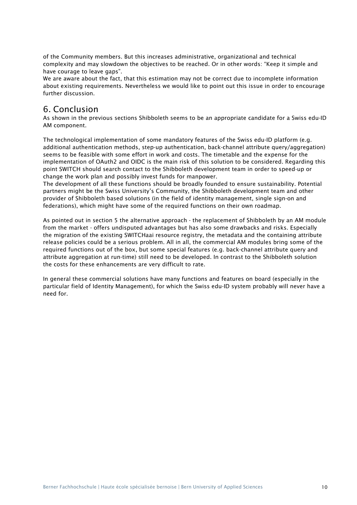of the Community members. But this increases administrative, organizational and technical complexity and may slowdown the objectives to be reached. Or in other words: "Keep it simple and have courage to leave gaps".

We are aware about the fact, that this estimation may not be correct due to incomplete information about existing requirements. Nevertheless we would like to point out this issue in order to encourage further discussion.

### 6. Conclusion

As shown in the previous sections Shibboleth seems to be an appropriate candidate for a Swiss edu-ID AM component.

The technological implementation of some mandatory features of the Swiss edu-ID platform (e.g. additional authentication methods, step-up authentication, back-channel attribute query/aggregation) seems to be feasible with some effort in work and costs. The timetable and the expense for the implementation of OAuth2 and OIDC is the main risk of this solution to be considered. Regarding this point SWITCH should search contact to the Shibboleth development team in order to speed-up or change the work plan and possibly invest funds for manpower.

The development of all these functions should be broadly founded to ensure sustainability. Potential partners might be the Swiss University's Community, the Shibboleth development team and other provider of Shibboleth based solutions (in the field of identity management, single sign-on and federations), which might have some of the required functions on their own roadmap.

As pointed out in section 5 the alternative approach - the replacement of Shibboleth by an AM module from the market - offers undisputed advantages but has also some drawbacks and risks. Especially the migration of the existing SWITCHaai resource registry, the metadata and the containing attribute release policies could be a serious problem. All in all, the commercial AM modules bring some of the required functions out of the box, but some special features (e.g. back-channel attribute query and attribute aggregation at run-time) still need to be developed. In contrast to the Shibboleth solution the costs for these enhancements are very difficult to rate.

In general these commercial solutions have many functions and features on board (especially in the particular field of Identity Management), for which the Swiss edu-ID system probably will never have a need for.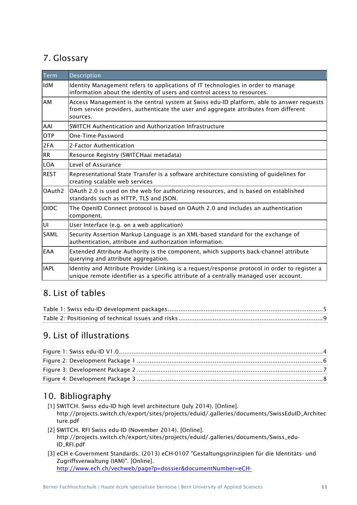# 7. Glossary

| <b>Term</b> | Description                                                                                                                                                                                    |  |  |
|-------------|------------------------------------------------------------------------------------------------------------------------------------------------------------------------------------------------|--|--|
| lldM        | Identity Management refers to applications of IT technologies in order to manage<br>information about the identity of users and control access to resources.                                   |  |  |
| <b>AM</b>   | Access Management is the central system at Swiss edu-ID platform, able to answer requests<br>from service providers, authenticate the user and aggregate attributes from different<br>sources. |  |  |
| AAI         | SWITCH Authentication and Authorization Infrastructure                                                                                                                                         |  |  |
| <b>OTP</b>  | One-Time-Password                                                                                                                                                                              |  |  |
| 2FA         | 2-Factor Authentication                                                                                                                                                                        |  |  |
| RR          | Resource Registry (SWITCHaai metadata)                                                                                                                                                         |  |  |
| LOA         | Level of Assurance                                                                                                                                                                             |  |  |
| REST        | Representational State Transfer is a software architecture consisting of guidelines for<br>creating scalable web services                                                                      |  |  |
| lOAuth2     | OAuth 2.0 is used on the web for authorizing resources, and is based on established<br>standards such as HTTP, TLS and JSON.                                                                   |  |  |
| <b>OIDC</b> | The OpenID Connect protocol is based on OAuth 2.0 and includes an authentication<br>component.                                                                                                 |  |  |
| lui         | User Interface (e.g. on a web application)                                                                                                                                                     |  |  |
| <b>SAML</b> | Security Assertion Markup Language is an XML-based standard for the exchange of<br>authentication, attribute and authorization information.                                                    |  |  |
| <b>EAA</b>  | Extended Attribute Authority is the component, which supports back-channel attribute<br>querying and attribute aggregation.                                                                    |  |  |
| <b>IAPL</b> | Identity and Attribute Provider Linking is a request/response protocol in order to register a<br>unique remote identifier as a specific attribute of a centrally managed user account.         |  |  |

## 8. List of tables

# 9. List of illustrations

# 10. Bibliography

- [1] SWITCH. Swiss edu-ID high level architecture (July 2014). [Online]. http://projects.switch.ch/export/sites/projects/eduid/.galleries/documents/SwissEduID\_Architec ture.pdf
- [2] SWITCH. RFI Swiss edu-ID (November 2014). [Online]. http://projects.switch.ch/export/sites/projects/eduid/.galleries/documents/Swiss\_edu-ID\_RFI.pdf
- [3] eCH e-Government Standards. (2013) eCH-0107 "Gestaltungsprinzipien für die Identitäts- und Zugriffsverwaltung (IAM)". [Online]. http://www.ech.ch/vechweb/page?p=dossier&documentNumber=eCH-